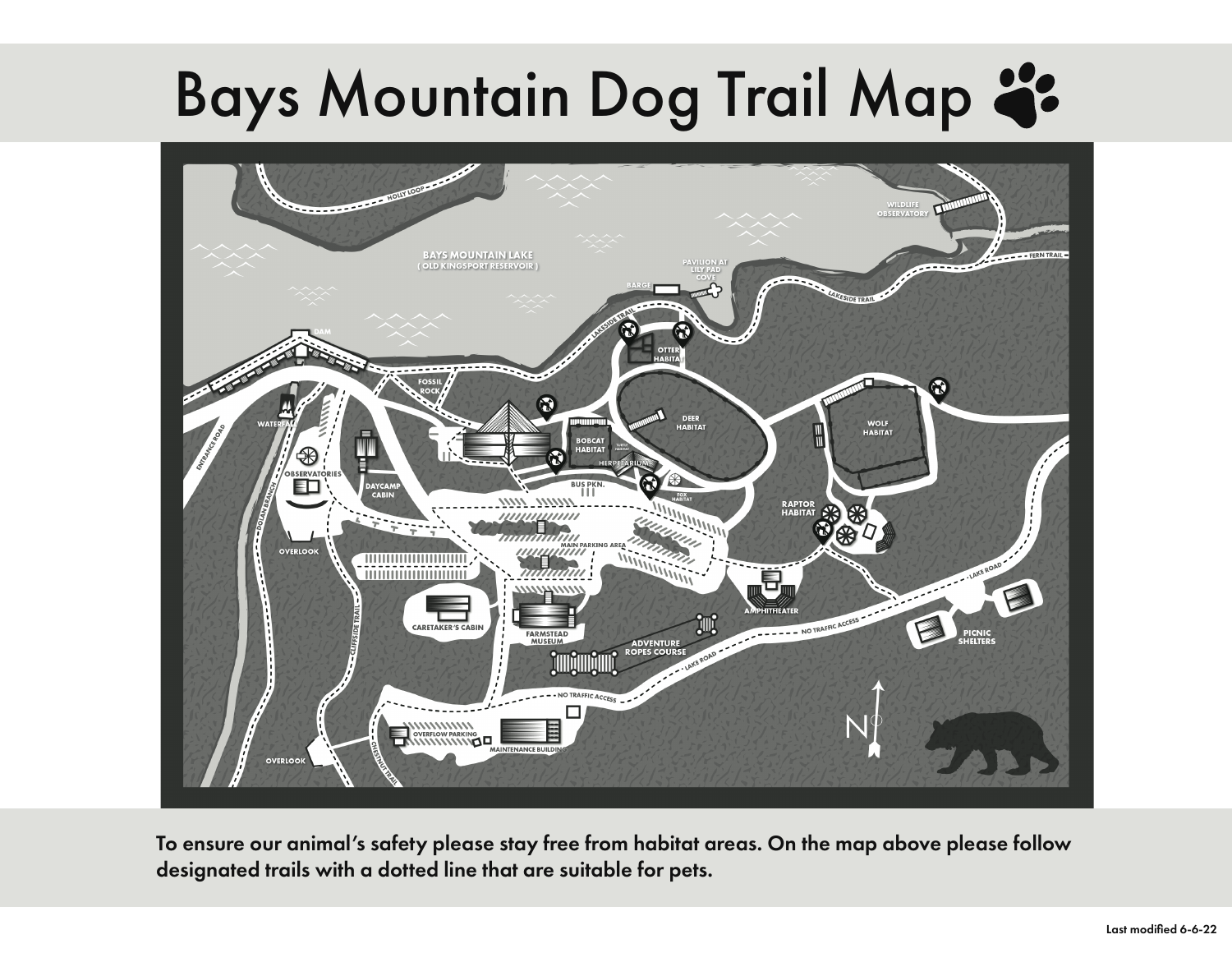## Bays Mountain Dog Trail Map 2:



To ensure our animal's safety please stay free from habitat areas. On the map above please follow designated trails with a dotted line that are suitable for pets.